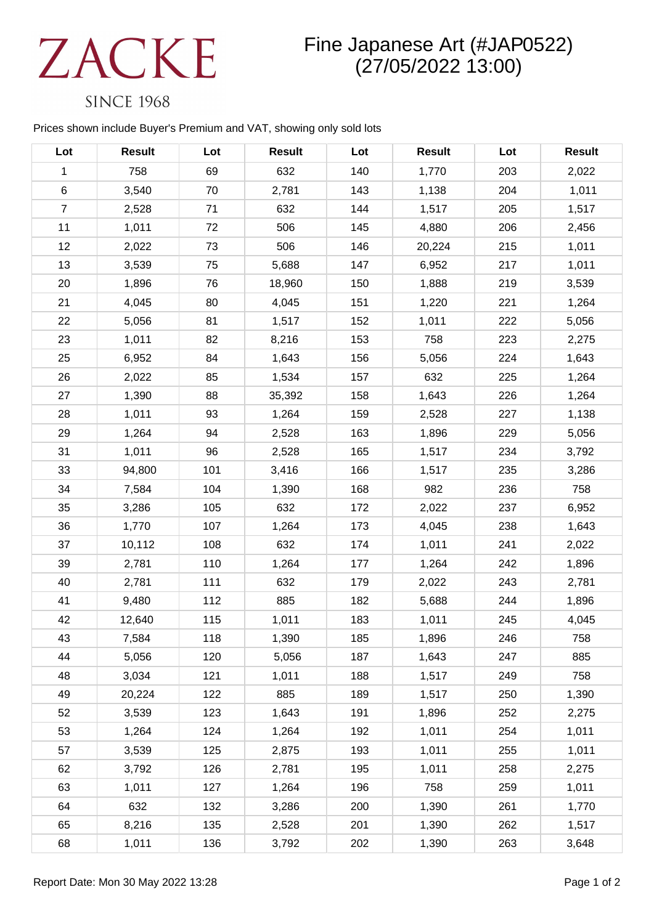# ZACKE

## Fine Japanese Art (#JAP0522) (27/05/2022 13:00)

### **SINCE 1968**

#### Prices shown include Buyer's Premium and VAT, showing only sold lots

| Lot            | <b>Result</b> | Lot | <b>Result</b> | Lot | <b>Result</b> | Lot | <b>Result</b> |
|----------------|---------------|-----|---------------|-----|---------------|-----|---------------|
| $\mathbf{1}$   | 758           | 69  | 632           | 140 | 1,770         | 203 | 2,022         |
| $\,6$          | 3,540         | 70  | 2,781         | 143 | 1,138         | 204 | 1,011         |
| $\overline{7}$ | 2,528         | 71  | 632           | 144 | 1,517         | 205 | 1,517         |
| 11             | 1,011         | 72  | 506           | 145 | 4,880         | 206 | 2,456         |
| 12             | 2,022         | 73  | 506           | 146 | 20,224        | 215 | 1,011         |
| 13             | 3,539         | 75  | 5,688         | 147 | 6,952         | 217 | 1,011         |
| 20             | 1,896         | 76  | 18,960        | 150 | 1,888         | 219 | 3,539         |
| 21             | 4,045         | 80  | 4,045         | 151 | 1,220         | 221 | 1,264         |
| 22             | 5,056         | 81  | 1,517         | 152 | 1,011         | 222 | 5,056         |
| 23             | 1,011         | 82  | 8,216         | 153 | 758           | 223 | 2,275         |
| 25             | 6,952         | 84  | 1,643         | 156 | 5,056         | 224 | 1,643         |
| 26             | 2,022         | 85  | 1,534         | 157 | 632           | 225 | 1,264         |
| 27             | 1,390         | 88  | 35,392        | 158 | 1,643         | 226 | 1,264         |
| 28             | 1,011         | 93  | 1,264         | 159 | 2,528         | 227 | 1,138         |
| 29             | 1,264         | 94  | 2,528         | 163 | 1,896         | 229 | 5,056         |
| 31             | 1,011         | 96  | 2,528         | 165 | 1,517         | 234 | 3,792         |
| 33             | 94,800        | 101 | 3,416         | 166 | 1,517         | 235 | 3,286         |
| 34             | 7,584         | 104 | 1,390         | 168 | 982           | 236 | 758           |
| 35             | 3,286         | 105 | 632           | 172 | 2,022         | 237 | 6,952         |
| 36             | 1,770         | 107 | 1,264         | 173 | 4,045         | 238 | 1,643         |
| 37             | 10,112        | 108 | 632           | 174 | 1,011         | 241 | 2,022         |
| 39             | 2,781         | 110 | 1,264         | 177 | 1,264         | 242 | 1,896         |
| 40             | 2,781         | 111 | 632           | 179 | 2,022         | 243 | 2,781         |
| 41             | 9,480         | 112 | 885           | 182 | 5,688         | 244 | 1,896         |
| 42             | 12,640        | 115 | 1,011         | 183 | 1,011         | 245 | 4,045         |
| 43             | 7,584         | 118 | 1,390         | 185 | 1,896         | 246 | 758           |
| 44             | 5,056         | 120 | 5,056         | 187 | 1,643         | 247 | 885           |
| 48             | 3,034         | 121 | 1,011         | 188 | 1,517         | 249 | 758           |
| 49             | 20,224        | 122 | 885           | 189 | 1,517         | 250 | 1,390         |
| 52             | 3,539         | 123 | 1,643         | 191 | 1,896         | 252 | 2,275         |
| 53             | 1,264         | 124 | 1,264         | 192 | 1,011         | 254 | 1,011         |
| 57             | 3,539         | 125 | 2,875         | 193 | 1,011         | 255 | 1,011         |
| 62             | 3,792         | 126 | 2,781         | 195 | 1,011         | 258 | 2,275         |
| 63             | 1,011         | 127 | 1,264         | 196 | 758           | 259 | 1,011         |
| 64             | 632           | 132 | 3,286         | 200 | 1,390         | 261 | 1,770         |
| 65             | 8,216         | 135 | 2,528         | 201 | 1,390         | 262 | 1,517         |
| 68             | 1,011         | 136 | 3,792         | 202 | 1,390         | 263 | 3,648         |